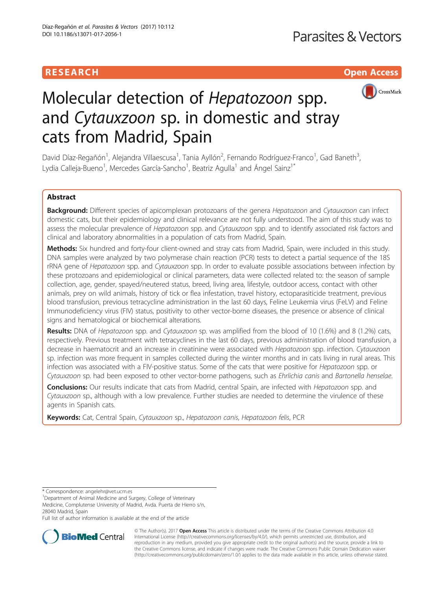# **RESEARCH CHINESEARCH CHINESEARCH CHINESEARCH**



# Molecular detection of Hepatozoon spp. and Cytauxzoon sp. in domestic and stray cats from Madrid, Spain

David Díaz-Regañón<sup>1</sup>, Alejandra Villaescusa<sup>1</sup>, Tania Ayllón<sup>2</sup>, Fernando Rodríguez-Franco<sup>1</sup>, Gad Baneth<sup>3</sup> , Lydia Calleja-Bueno<sup>1</sup>, Mercedes García-Sancho<sup>1</sup>, Beatriz Agulla<sup>1</sup> and Ángel Sainz<sup>1\*</sup>

# Abstract

Background: Different species of apicomplexan protozoans of the genera Hepatozoon and Cytauxzoon can infect domestic cats, but their epidemiology and clinical relevance are not fully understood. The aim of this study was to assess the molecular prevalence of Hepatozoon spp. and Cytauxzoon spp. and to identify associated risk factors and clinical and laboratory abnormalities in a population of cats from Madrid, Spain.

Methods: Six hundred and forty-four client-owned and stray cats from Madrid, Spain, were included in this study. DNA samples were analyzed by two polymerase chain reaction (PCR) tests to detect a partial sequence of the 18S rRNA gene of Hepatozoon spp. and Cytauxzoon spp. In order to evaluate possible associations between infection by these protozoans and epidemiological or clinical parameters, data were collected related to: the season of sample collection, age, gender, spayed/neutered status, breed, living area, lifestyle, outdoor access, contact with other animals, prey on wild animals, history of tick or flea infestation, travel history, ectoparasiticide treatment, previous blood transfusion, previous tetracycline administration in the last 60 days, Feline Leukemia virus (FeLV) and Feline Immunodeficiency virus (FIV) status, positivity to other vector-borne diseases, the presence or absence of clinical signs and hematological or biochemical alterations.

**Results:** DNA of Hepatozoon spp. and Cytauxzoon sp. was amplified from the blood of 10 (1.6%) and 8 (1.2%) cats, respectively. Previous treatment with tetracyclines in the last 60 days, previous administration of blood transfusion, a decrease in haematocrit and an increase in creatinine were associated with Hepatozoon spp. infection. Cytauxzoon sp. infection was more frequent in samples collected during the winter months and in cats living in rural areas. This infection was associated with a FIV-positive status. Some of the cats that were positive for Hepatozoon spp. or Cytauxzoon sp. had been exposed to other vector-borne pathogens, such as Ehrlichia canis and Bartonella henselae.

Conclusions: Our results indicate that cats from Madrid, central Spain, are infected with Hepatozoon spp. and Cytauxzoon sp., although with a low prevalence. Further studies are needed to determine the virulence of these agents in Spanish cats.

Keywords: Cat, Central Spain, Cytauxzoon sp., Hepatozoon canis, Hepatozoon felis, PCR

\* Correspondence: [angelehr@vet.ucm.es](mailto:angelehr@vet.ucm.es) <sup>1</sup>

<sup>1</sup>Department of Animal Medicine and Surgery, College of Veterinary Medicine, Complutense University of Madrid, Avda. Puerta de Hierro s/n, 28040 Madrid, Spain

Full list of author information is available at the end of the article



© The Author(s). 2017 **Open Access** This article is distributed under the terms of the Creative Commons Attribution 4.0 International License [\(http://creativecommons.org/licenses/by/4.0/](http://creativecommons.org/licenses/by/4.0/)), which permits unrestricted use, distribution, and reproduction in any medium, provided you give appropriate credit to the original author(s) and the source, provide a link to the Creative Commons license, and indicate if changes were made. The Creative Commons Public Domain Dedication waiver [\(http://creativecommons.org/publicdomain/zero/1.0/](http://creativecommons.org/publicdomain/zero/1.0/)) applies to the data made available in this article, unless otherwise stated.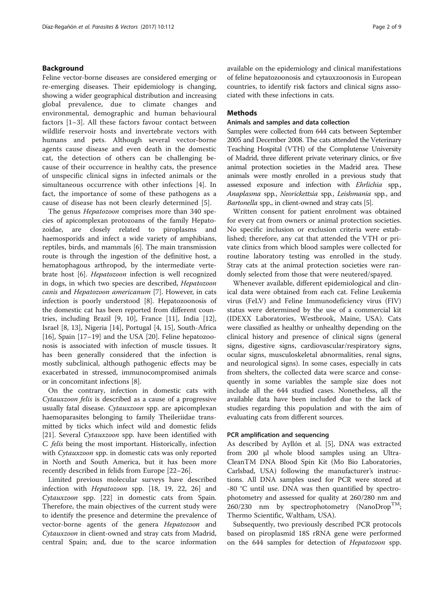# Background

Feline vector-borne diseases are considered emerging or re-emerging diseases. Their epidemiology is changing, showing a wider geographical distribution and increasing global prevalence, due to climate changes and environmental, demographic and human behavioural factors [[1](#page-7-0)–[3](#page-7-0)]. All these factors favour contact between wildlife reservoir hosts and invertebrate vectors with humans and pets. Although several vector-borne agents cause disease and even death in the domestic cat, the detection of others can be challenging because of their occurrence in healthy cats, the presence of unspecific clinical signs in infected animals or the simultaneous occurrence with other infections [\[4](#page-7-0)]. In fact, the importance of some of these pathogens as a cause of disease has not been clearly determined [\[5](#page-7-0)].

The genus *Hepatozoon* comprises more than 340 species of apicomplexan protozoans of the family Hepatozoidae, are closely related to piroplasms and haemosporids and infect a wide variety of amphibians, reptiles, birds, and mammals [\[6](#page-7-0)]. The main transmission route is through the ingestion of the definitive host, a hematophagous arthropod, by the intermediate vertebrate host [[6\]](#page-7-0). Hepatozoon infection is well recognized in dogs, in which two species are described, Hepatozoon canis and Hepatozoon americanum [[7\]](#page-7-0). However, in cats infection is poorly understood [\[8](#page-7-0)]. Hepatozoonosis of the domestic cat has been reported from different countries, including Brazil [\[9](#page-7-0), [10](#page-7-0)], France [[11\]](#page-7-0), India [\[12](#page-7-0)], Israel [\[8](#page-7-0), [13](#page-7-0)], Nigeria [\[14](#page-7-0)], Portugal [\[4](#page-7-0), [15\]](#page-7-0), South-Africa [[16\]](#page-7-0), Spain  $[17–19]$  $[17–19]$  $[17–19]$  and the USA  $[20]$  $[20]$ . Feline hepatozoonosis is associated with infection of muscle tissues. It has been generally considered that the infection is mostly subclinical, although pathogenic effects may be exacerbated in stressed, immunocompromised animals or in concomitant infections [\[8](#page-7-0)].

On the contrary, infection in domestic cats with Cytauxzoon felis is described as a cause of a progressive usually fatal disease. Cytauxzoon spp. are apicomplexan haemoparasites belonging to family Theileriidae transmitted by ticks which infect wild and domestic felids [[21\]](#page-8-0). Several Cytauxzoon spp. have been identified with C. felis being the most important. Historically, infection with *Cytauxzoon* spp. in domestic cats was only reported in North and South America, but it has been more recently described in felids from Europe [\[22](#page-8-0)–[26\]](#page-8-0).

Limited previous molecular surveys have described infection with Hepatozoon spp. [\[18](#page-8-0), [19](#page-8-0), [22](#page-8-0), [26](#page-8-0)] and Cytauxzoon spp. [[22\]](#page-8-0) in domestic cats from Spain. Therefore, the main objectives of the current study were to identify the presence and determine the prevalence of vector-borne agents of the genera Hepatozoon and Cytauxzoon in client-owned and stray cats from Madrid, central Spain; and, due to the scarce information available on the epidemiology and clinical manifestations of feline hepatozoonosis and cytauxzoonosis in European countries, to identify risk factors and clinical signs associated with these infections in cats.

# **Methods**

# Animals and samples and data collection

Samples were collected from 644 cats between September 2005 and December 2008. The cats attended the Veterinary Teaching Hospital (VTH) of the Complutense University of Madrid, three different private veterinary clinics, or five animal protection societies in the Madrid area. These animals were mostly enrolled in a previous study that assessed exposure and infection with Ehrlichia spp., Anaplasma spp., Neorickettsia spp., Leishmania spp., and Bartonella spp., in client-owned and stray cats [\[5\]](#page-7-0).

Written consent for patient enrolment was obtained for every cat from owners or animal protection societies. No specific inclusion or exclusion criteria were established; therefore, any cat that attended the VTH or private clinics from which blood samples were collected for routine laboratory testing was enrolled in the study. Stray cats at the animal protection societies were randomly selected from those that were neutered/spayed.

Whenever available, different epidemiological and clinical data were obtained from each cat. Feline Leukemia virus (FeLV) and Feline Immunodeficiency virus (FIV) status were determined by the use of a commercial kit (IDEXX Laboratories, Westbrook, Maine, USA). Cats were classified as healthy or unhealthy depending on the clinical history and presence of clinical signs (general signs, digestive signs, cardiovascular/respiratory signs, ocular signs, musculoskeletal abnormalities, renal signs, and neurological signs). In some cases, especially in cats from shelters, the collected data were scarce and consequently in some variables the sample size does not include all the 644 studied cases. Nonetheless, all the available data have been included due to the lack of studies regarding this population and with the aim of evaluating cats from different sources.

## PCR amplification and sequencing

As described by Ayllón et al. [[5](#page-7-0)], DNA was extracted from 200 μl whole blood samples using an Ultra-CleanTM DNA Blood Spin Kit (Mo Bio Laboratories, Carlsbad, USA) following the manufacturer's instructions. All DNA samples used for PCR were stored at -80 °C until use. DNA was then quantified by spectrophotometry and assessed for quality at 260/280 nm and  $260/230$  nm by spectrophotometry (NanoDrop<sup>TM</sup>; Thermo Scientific, Waltham, USA).

Subsequently, two previously described PCR protocols based on piroplasmid 18S rRNA gene were performed on the 644 samples for detection of Hepatozoon spp.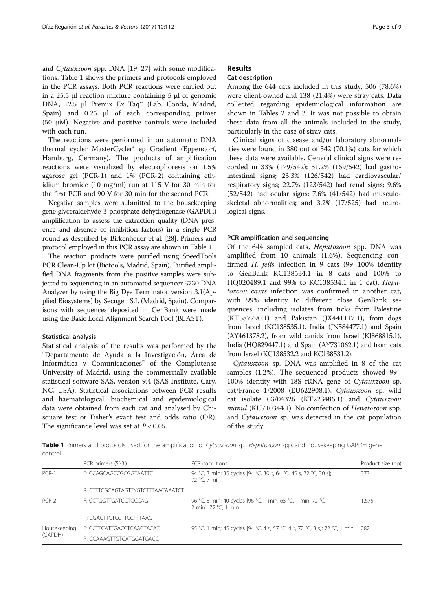and Cytauxzoon spp. DNA [\[19, 27](#page-8-0)] with some modifications. Table 1 shows the primers and protocols employed in the PCR assays. Both PCR reactions were carried out in a 25.5 μl reaction mixture containing 5 μl of genomic DNA, 12.5 μl Premix Ex Taq™ (Lab. Conda, Madrid, Spain) and 0.25 μl of each corresponding primer (50 μM). Negative and positive controls were included with each run.

The reactions were performed in an automatic DNA thermal cycler MasterCycler® ep Gradient (Eppendorf, Hamburg, Germany). The products of amplification reactions were visualized by electrophoresis on 1.5% agarose gel (PCR-1) and 1% (PCR-2) containing ethidium bromide (10 mg/ml) run at 115 V for 30 min for the first PCR and 90 V for 30 min for the second PCR.

Negative samples were submitted to the housekeeping gene glyceraldehyde-3-phosphate dehydrogenase (GAPDH) amplification to assess the extraction quality (DNA presence and absence of inhibition factors) in a single PCR round as described by Birkenheuer et al. [\[28\]](#page-8-0). Primers and protocol employed in this PCR assay are shown in Table 1.

The reaction products were purified using SpeedTools PCR Clean-Up kit (Biotools, Madrid, Spain). Purified amplified DNA fragments from the positive samples were subjected to sequencing in an automated sequencer 3730 DNA Analyzer by using the Big Dye Terminator version 3.1(Applied Biosystems) by Secugen S.L (Madrid, Spain). Comparisons with sequences deposited in GenBank were made using the Basic Local Alignment Search Tool (BLAST).

# Statistical analysis

Statistical analysis of the results was performed by the "Departamento de Ayuda a la Investigación, Área de Informática y Comunicaciones" of the Complutense University of Madrid, using the commercially available statistical software SAS, version 9.4 (SAS Institute, Cary, NC, USA). Statistical associations between PCR results and haematological, biochemical and epidemiological data were obtained from each cat and analysed by Chisquare test or Fisher's exact test and odds ratio (OR). The significance level was set at  $P < 0.05$ .

# Results

# Cat description

Among the 644 cats included in this study, 506 (78.6%) were client-owned and 138 (21.4%) were stray cats. Data collected regarding epidemiological information are shown in Tables [2](#page-3-0) and [3](#page-4-0). It was not possible to obtain these data from all the animals included in the study, particularly in the case of stray cats.

Clinical signs of disease and/or laboratory abnormalities were found in 380 out of 542 (70.1%) cats for which these data were available. General clinical signs were recorded in 33% (179/542); 31.2% (169/542) had gastrointestinal signs; 23.3% (126/542) had cardiovascular/ respiratory signs; 22.7% (123/542) had renal signs; 9.6% (52/542) had ocular signs; 7.6% (41/542) had musculoskeletal abnormalities; and 3.2% (17/525) had neurological signs.

# PCR amplification and sequencing

Of the 644 sampled cats, Hepatozoon spp. DNA was amplified from 10 animals (1.6%). Sequencing confirmed H. felis infection in 9 cats (99–100% identity to GenBank KC138534.1 in 8 cats and 100% to HQ020489.1 and 99% to KC138534.1 in 1 cat). Hepatozoon canis infection was confirmed in another cat, with 99% identity to different close GenBank sequences, including isolates from ticks from Palestine (KT587790.1) and Pakistan (JX441117.1), from dogs from Israel (KC138535.1), India (JN584477.1) and Spain (AY461378.2), from wild canids from Israel (KJ868815.1), India (HQ829447.1) and Spain (AY731062.1) and from cats from Israel (KC138532.2 and KC138531.2).

Cytauxzoon sp. DNA was amplified in 8 of the cat samples (1.2%). The sequenced products showed 99– 100% identity with 18S rRNA gene of Cytauxzoon sp. cat/France 1/2008 (EU622908.1), Cytauxzoon sp. wild cat isolate 03/04326 (KT223486.1) and Cytauxzoon manul (KU710344.1). No coinfection of Hepatozoon spp. and Cytauxzoon sp. was detected in the cat population of the study.

Table 1 Primers and protocols used for the amplification of Cytauxzoon sp., Hepatozoon spp. and housekeeping GAPDH gene control

|                         | PCR primers (5'-3')               | PCR conditions                                                                      | Product size (bp) |
|-------------------------|-----------------------------------|-------------------------------------------------------------------------------------|-------------------|
| $PCR-1$                 | F: CCAGCAGCCGCGGTAATTC            | 94 °C, 3 min; 35 cycles [94 °C, 30 s, 64 °C, 45 s, 72 °C, 30 s];<br>72 °C. 7 min    | 373               |
|                         | R: CITTCGCAGTAGTTYGTCTTTAACAAATCT |                                                                                     |                   |
| PCR-2                   | F: CCTGGTTGATCCTGCCAG             | 96 °C, 3 min; 40 cycles [96 °C, 1 min, 65 °C, 1 min, 72 °C,<br>2 minl: 72 °C. 1 min | 1,675             |
|                         | R: CGACTTCTCCTTCCTTTAAG           |                                                                                     |                   |
| Housekeeping<br>(GAPDH) | F: CCTTCATTGACCTCAACTACAT         | 95 °C, 1 min; 45 cycles [94 °C, 4 s, 57 °C, 4 s, 72 °C, 3 s]; 72 °C, 1 min 282      |                   |
|                         | R: CCAAAGTTGTCATGGATGACC          |                                                                                     |                   |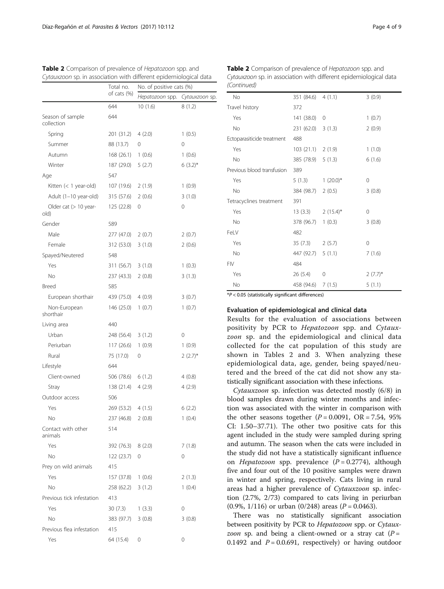|                                | Total no.<br>of cats (%) | No. of positive cats (%) |                |
|--------------------------------|--------------------------|--------------------------|----------------|
|                                |                          | Hepatozoon spp.          | Cytauxzoon sp. |
|                                | 644                      | 10(1.6)                  | 8(1.2)         |
| Season of sample<br>collection | 644                      |                          |                |
| Spring                         | 201 (31.2)               | 4(2.0)                   | 1(0.5)         |
| Summer                         | 88 (13.7)                | 0                        | 0              |
| Autumn                         | 168(26.1)                | 1(0.6)                   | 1(0.6)         |
| Winter                         | 187 (29.0)               | 5(2.7)                   | $6(3.2)^{*}$   |
| Age                            | 547                      |                          |                |
| Kitten (< 1 year-old)          | 107 (19.6)               | 2(1.9)                   | 1(0.9)         |
| Adult (1-10 year-old)          | 315 (57.6)               | 2(0.6)                   | 3(1.0)         |
| Older cat (> 10 year-<br>old)  | 125 (22.8)               | 0                        | 0              |
| Gender                         | 589                      |                          |                |
| Male                           | 277 (47.0)               | 2(0.7)                   | 2(0.7)         |
| Female                         | 312 (53.0)               | 3(1.0)                   | 2(0.6)         |
| Spayed/Neutered                | 548                      |                          |                |
| Yes                            | 311 (56.7)               | 3(1.0)                   | 1(0.3)         |
| No                             | 237 (43.3)               | 2(0.8)                   | 3(1.3)         |
| <b>Breed</b>                   | 585                      |                          |                |
| European shorthair             | 439 (75.0)               | 4(0.9)                   | 3(0.7)         |
| Non-European<br>shorthair      | 146 (25.0)               | 1(0.7)                   | 1(0.7)         |
| Living area                    | 440                      |                          |                |
| Urban                          | 248 (56.4)               | 3(1.2)                   | 0              |
| Periurban                      | 117 (26.6)               | 1(0.9)                   | 1(0.9)         |
| Rural                          | 75 (17.0)                | 0                        | $2(2.7)^{*}$   |
| Lifestyle                      | 644                      |                          |                |
| Client-owned                   | 506 (78.6) 6 (1.2)       |                          | 4(0.8)         |
| Stray                          | 138 (21.4)               | 4(2.9)                   | 4 (2.9)        |
| Outdoor access                 | 506                      |                          |                |
| Yes                            | 269 (53.2)               | 4(1.5)                   | 6(2.2)         |
| No                             | 237 (46.8)               | 2(0.8)                   | 1(0.4)         |
| Contact with other<br>animals  | 514                      |                          |                |
| Yes                            | 392 (76.3)               | 8(2.0)                   | 7(1.8)         |
| No                             | 122 (23.7)               | 0                        | 0              |
| Prey on wild animals           | 415                      |                          |                |
| Yes                            | 157 (37.8)               | 1(0.6)                   | 2(1.3)         |
| No                             | 258 (62.2)               | 3(1.2)                   | 1(0.4)         |
| Previous tick infestation      | 413                      |                          |                |
| Yes                            | 30(7.3)                  | 1(3.3)                   | 0              |
| No                             | 383 (97.7)               | 3(0.8)                   | 3(0.8)         |
| Previous flea infestation      | 415                      |                          |                |
| Yes                            | 64 (15.4)                | 0                        | 0              |

<span id="page-3-0"></span>

| <b>Table 2</b> Comparison of prevalence of Hepatozoon spp. and    | <b>Table</b>  |
|-------------------------------------------------------------------|---------------|
| Cytauxzoon sp. in association with different epidemiological data | Cytaux        |
|                                                                   | $\sim$ $\sim$ |

| No                         | 351 (84.6) 4 (1.1)  |               | 3(0.9)       |
|----------------------------|---------------------|---------------|--------------|
| Travel history             | 372                 |               |              |
| Yes                        | 141 (38.0)          | 0             | 1(0.7)       |
| No                         | 231 (62.0) 3 (1.3)  |               | 2(0.9)       |
| Ectoparasiticide treatment | 488                 |               |              |
| Yes                        | $103(21.1)$ 2 (1.9) |               | 1(1.0)       |
| No                         | 385 (78.9) 5 (1.3)  |               | 6(1.6)       |
| Previous blood transfusion | 389                 |               |              |
| Yes                        | 5(1.3)              | $1(20.0)^{*}$ | 0            |
| No                         | 384 (98.7)          | 2(0.5)        | 3(0.8)       |
| Tetracyclines treatment    | 391                 |               |              |
| Yes                        | 13(3.3)             | $2(15.4)^{*}$ | 0            |
| No                         | $378(96.7)$ 1 (0.3) |               | 3(0.8)       |
| FeLV                       | 482                 |               |              |
| Yes                        | 35 (7.3)            | 2(5.7)        | 0            |
| No                         | 447 (92.7)          | 5(1.1)        | 7(1.6)       |
| <b>FIV</b>                 | 484                 |               |              |
| Yes                        | 26(5.4)             | 0             | $2(7.7)^{*}$ |
| No                         | 458 (94.6)          | 7(1.5)        | 5(1.1)       |

2 Comparison of prevalence of Hepatozoon spp. and zoon sp. in association with different epidemiological data (Continued)

 $*P < 0.05$  (statistically significant differences)

#### Evaluation of epidemiological and clinical data

Results for the evaluation of associations between positivity by PCR to Hepatozoon spp. and Cytauxzoon sp. and the epidemiological and clinical data collected for the cat population of this study are shown in Tables 2 and [3.](#page-4-0) When analyzing these epidemiological data, age, gender, being spayed/neutered and the breed of the cat did not show any statistically significant association with these infections.

Cytauxzoon sp. infection was detected mostly (6/8) in blood samples drawn during winter months and infection was associated with the winter in comparison with the other seasons together  $(P = 0.0091, \text{ OR } = 7.54, 95\%$ CI: 1.50–37.71). The other two positive cats for this agent included in the study were sampled during spring and autumn. The season when the cats were included in the study did not have a statistically significant influence on Hepatozoon spp. prevalence  $(P = 0.2774)$ , although five and four out of the 10 positive samples were drawn in winter and spring, respectively. Cats living in rural areas had a higher prevalence of Cytauxzoon sp. infection (2.7%, 2/73) compared to cats living in periurban  $(0.9\%, 1/116)$  or urban  $(0/248)$  areas  $(P = 0.0463)$ .

There was no statistically significant association between positivity by PCR to Hepatozoon spp. or Cytauxzoon sp. and being a client-owned or a stray cat  $(P =$ 0.1492 and  $P = 0.0.691$ , respectively) or having outdoor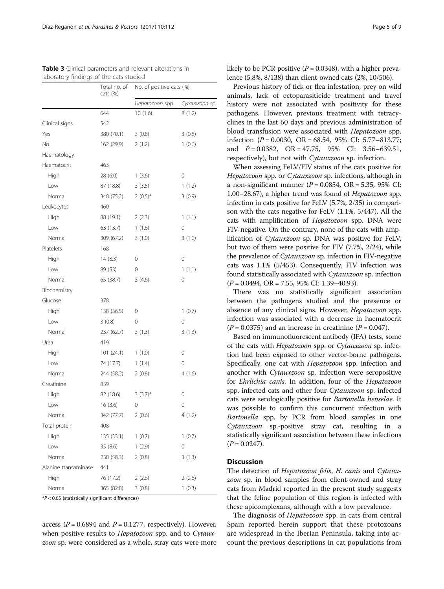|                      | Total no. of<br>cats $(\%)$ | No. of positive cats (%) |                |  |
|----------------------|-----------------------------|--------------------------|----------------|--|
|                      |                             | Hepatozoon spp.          | Cytauxzoon sp. |  |
|                      | 644                         | 10(1.6)                  | 8(1.2)         |  |
| Clinical signs       | 542                         |                          |                |  |
| Yes                  | 380 (70.1)                  | 3(0.8)                   | 3(0.8)         |  |
| No                   | 162 (29.9)                  | 2(1.2)                   | 1(0.6)         |  |
| Haematology          |                             |                          |                |  |
| Haematocrit          | 463                         |                          |                |  |
| High                 | 28 (6.0)                    | 1(3.6)                   | 0              |  |
| Low                  | 87 (18.8)                   | 3(3.5)                   | 1(1.2)         |  |
| Normal               | 348 (75.2)                  | $2(0.5)^{*}$             | 3(0.9)         |  |
| Leukocytes           | 460                         |                          |                |  |
| High                 | 88 (19.1)                   | 2(2.3)                   | 1(1.1)         |  |
| Low                  | 63 (13.7)                   | 1(1.6)                   | 0              |  |
| Normal               | 309 (67.2)                  | 3(1.0)                   | 3(1.0)         |  |
| Platelets            | 168                         |                          |                |  |
| High                 | 14(8.3)                     | 0                        | 0              |  |
| Low                  | 89 (53)                     | 0                        | 1(1.1)         |  |
| Normal               | 65 (38.7)                   | 3(4.6)                   | 0              |  |
| Biochemistry         |                             |                          |                |  |
| Glucose              | 378                         |                          |                |  |
| High                 | 138 (36.5)                  | 0                        | 1(0.7)         |  |
| Low                  | 3(0.8)                      | 0                        | 0              |  |
| Normal               | 237 (62.7)                  | 3(1.3)                   | 3(1.3)         |  |
| Urea                 | 419                         |                          |                |  |
| High                 | 101(24.1)                   | 1(1.0)                   | 0              |  |
| Low                  | 74 (17.7)                   | 1(1.4)                   | 0              |  |
| Normal               | 244 (58.2)                  | 2(0.8)                   | 4(1.6)         |  |
| Creatinine           | 859                         |                          |                |  |
| High                 | 82 (18.6)                   | $3(3.7)^{*}$             | 0              |  |
| Low                  | 16(3.6)                     | 0                        | 0              |  |
| Normal               | 342 (77.7)                  | 2(0.6)                   | 4(1.2)         |  |
| Total protein        | 408                         |                          |                |  |
| High                 | 135 (33.1)                  | 1(0.7)                   | 1(0.7)         |  |
| Low                  | 35 (8.6)                    | 1(2.9)                   | 0              |  |
| Normal               | 238 (58.3)                  | 2(0.8)                   | 3(1.3)         |  |
| Alanine transaminase | 441                         |                          |                |  |
| High                 | 76 (17.2)                   | 2(2.6)                   | 2(2.6)         |  |
| Normal               | 365 (82.8)                  | 3(0.8)                   | 1(0.3)         |  |

<span id="page-4-0"></span>Table 3 Clinical parameters and relevant alterations in laboratory findings of the cats studied

\*P < 0.05 (statistically significant differences)

access ( $P = 0.6894$  and  $P = 0.1277$ , respectively). However, when positive results to *Hepatozoon* spp. and to *Cytaux*zoon sp. were considered as a whole, stray cats were more likely to be PCR positive ( $P = 0.0348$ ), with a higher prevalence (5.8%, 8/138) than client-owned cats (2%, 10/506).

Previous history of tick or flea infestation, prey on wild animals, lack of ectoparasiticide treatment and travel history were not associated with positivity for these pathogens. However, previous treatment with tetracyclines in the last 60 days and previous administration of blood transfusion were associated with Hepatozoon spp. infection  $(P = 0.0030, \text{ OR } = 68.54, 95\% \text{ CI: } 5.77-813.77;$ and  $P = 0.0382$ ,  $OR = 47.75$ ,  $95\%$  CI: 3.56–639.51, respectively), but not with *Cytauxzoon* sp. infection.

When assessing FeLV/FIV status of the cats positive for Hepatozoon spp. or Cytauxzoon sp. infections, although in a non-significant manner ( $P = 0.0854$ , OR = 5.35, 95% CI: 1.00–28.67), a higher trend was found of Hepatozoon spp. infection in cats positive for FeLV (5.7%, 2/35) in comparison with the cats negative for FeLV (1.1%, 5/447). All the cats with amplification of Hepatozoon spp. DNA were FIV-negative. On the contrary, none of the cats with amplification of Cytauxzoon sp. DNA was positive for FeLV, but two of them were positive for FIV (7.7%, 2/24), while the prevalence of Cytauxzoon sp. infection in FIV-negative cats was 1.1% (5/453). Consequently, FIV infection was found statistically associated with Cytauxzoon sp. infection  $(P = 0.0494, \text{ OR } = 7.55, 95\% \text{ CI: } 1.39 - 40.93).$ 

There was no statistically significant association between the pathogens studied and the presence or absence of any clinical signs. However, Hepatozoon spp. infection was associated with a decrease in haematocrit  $(P = 0.0375)$  and an increase in creatinine  $(P = 0.047)$ .

Based on immunofluorescent antibody (IFA) tests, some of the cats with Hepatozoon spp. or Cytauxzoon sp. infection had been exposed to other vector-borne pathogens. Specifically, one cat with *Hepatozoon* spp. infection and another with Cytauxzoon sp. infection were seropositive for Ehrlichia canis. In addition, four of the Hepatozoon spp.-infected cats and other four Cytauxzoon sp.-infected cats were serologically positive for Bartonella henselae. It was possible to confirm this concurrent infection with Bartonella spp. by PCR from blood samples in one Cytauxzoon sp.-positive stray cat, resulting in a statistically significant association between these infections  $(P = 0.0247)$ .

## **Discussion**

The detection of Hepatozoon felis, H. canis and Cytauxzoon sp. in blood samples from client-owned and stray cats from Madrid reported in the present study suggests that the feline population of this region is infected with these apicomplexans, although with a low prevalence.

The diagnosis of *Hepatozoon* spp. in cats from central Spain reported herein support that these protozoans are widespread in the Iberian Peninsula, taking into account the previous descriptions in cat populations from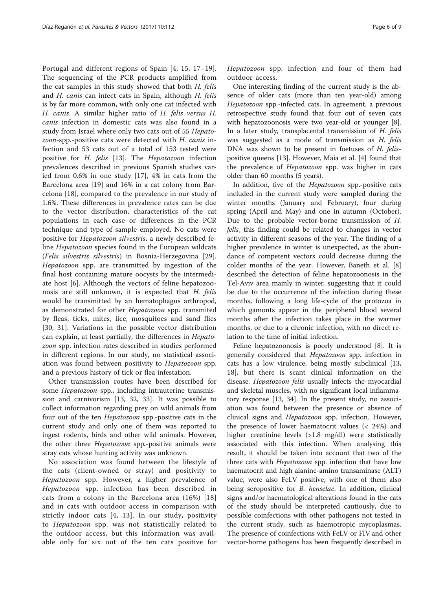Portugal and different regions of Spain [[4, 15, 17](#page-7-0)–[19](#page-8-0)]. The sequencing of the PCR products amplified from the cat samples in this study showed that both H. felis and H. canis can infect cats in Spain, although H. felis is by far more common, with only one cat infected with H. canis. A similar higher ratio of H. felis versus H. canis infection in domestic cats was also found in a study from Israel where only two cats out of 55 Hepatozoon-spp.-positive cats were detected with H. canis infection and 53 cats out of a total of 153 tested were positive for H. felis [\[13](#page-7-0)]. The Hepatozoon infection prevalences described in previous Spanish studies varied from 0.6% in one study [[17\]](#page-7-0), 4% in cats from the Barcelona area [[19\]](#page-8-0) and 16% in a cat colony from Barcelona [[18\]](#page-8-0), compared to the prevalence in our study of 1.6%. These differences in prevalence rates can be due to the vector distribution, characteristics of the cat populations in each case or differences in the PCR technique and type of sample employed. No cats were positive for Hepatozoon silvestris, a newly described feline Hepatozoon species found in the European wildcats (Felis silvestris silvestris) in Bosnia-Herzegovina [\[29](#page-8-0)]. Hepatozoon spp. are transmitted by ingestion of the final host containing mature oocysts by the intermediate host [[6\]](#page-7-0). Although the vectors of feline hepatozoonosis are still unknown, it is expected that H. felis would be transmitted by an hematophagus arthropod, as demonstrated for other Hepatozoon spp. transmited by fleas, ticks, mites, lice, mosquitoes and sand flies [[30](#page-8-0), [31\]](#page-8-0). Variations in the possible vector distribution can explain, at least partially, the differences in Hepatozoon spp. infection rates described in studies performed in different regions. In our study, no statistical association was found between positivity to Hepatozoon spp. and a previous history of tick or flea infestation.

Other transmission routes have been described for some Hepatozoon spp., including intrauterine transmission and carnivorism [\[13](#page-7-0), [32, 33](#page-8-0)]. It was possible to collect information regarding prey on wild animals from four out of the ten Hepatozoon spp.-positive cats in the current study and only one of them was reported to ingest rodents, birds and other wild animals. However, the other three Hepatozoon spp.-positive animals were stray cats whose hunting activity was unknown.

No association was found between the lifestyle of the cats (client-owned or stray) and positivity to Hepatozoon spp. However, a higher prevalence of Hepatozoon spp. infection has been described in cats from a colony in the Barcelona area (16%) [[18](#page-8-0)] and in cats with outdoor access in comparison with strictly indoor cats [\[4](#page-7-0), [13\]](#page-7-0). In our study, positivity to Hepatozoon spp. was not statistically related to the outdoor access, but this information was available only for six out of the ten cats positive for Hepatozoon spp. infection and four of them had outdoor access.

One interesting finding of the current study is the absence of older cats (more than ten year-old) among Hepatozoon spp.-infected cats. In agreement, a previous retrospective study found that four out of seven cats with hepatozoonosis were two year-old or younger [\[8](#page-7-0)]. In a later study, transplacental transmission of H. felis was suggested as a mode of transmission as H. felis DNA was shown to be present in foetuses of H. felispositive queens [\[13](#page-7-0)]. However, Maia et al. [[4\]](#page-7-0) found that the prevalence of *Hepatozoon* spp. was higher in cats older than 60 months (5 years).

In addition, five of the Hepatozoon spp.-positive cats included in the current study were sampled during the winter months (January and February), four during spring (April and May) and one in autumn (October). Due to the probable vector-borne transmission of H. felis, this finding could be related to changes in vector activity in different seasons of the year. The finding of a higher prevalence in winter is unexpected, as the abundance of competent vectors could decrease during the colder months of the year. However, Baneth et al. [[8](#page-7-0)] described the detection of feline hepatozoonosis in the Tel-Aviv area mainly in winter, suggesting that it could be due to the occurrence of the infection during these months, following a long life-cycle of the protozoa in which gamonts appear in the peripheral blood several months after the infection takes place in the warmer months, or due to a chronic infection, with no direct relation to the time of initial infection.

Feline hepatozoonosis is poorly understood [[8\]](#page-7-0). It is generally considered that Hepatozoon spp. infection in cats has a low virulence, being mostly subclinical [[13](#page-7-0), [18\]](#page-8-0), but there is scant clinical information on the disease. Hepatozoon felis usually infects the myocardial and skeletal muscles, with no significant local inflammatory response [\[13](#page-7-0), [34](#page-8-0)]. In the present study, no association was found between the presence or absence of clinical signs and Hepatozoon spp. infection. However, the presence of lower haematocrit values (< 24%) and higher creatinine levels (>1.8 mg/dl) were statistically associated with this infection. When analysing this result, it should be taken into account that two of the three cats with *Hepatozoon* spp. infection that have low haematocrit and high alanine-amino transaminase (ALT) value, were also FeLV positive, with one of them also being seropositive for *B. henselae*. In addition, clinical signs and/or haematological alterations found in the cats of the study should be interpreted cautiously, due to possible coinfections with other pathogens not tested in the current study, such as haemotropic mycoplasmas. The presence of coinfections with FeLV or FIV and other vector-borne pathogens has been frequently described in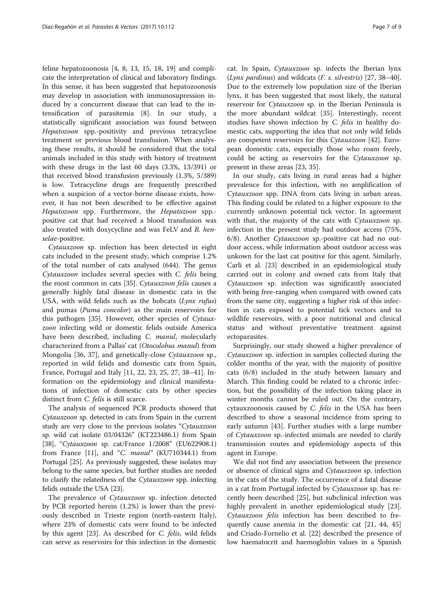feline hepatozoonosis [[4, 8, 13, 15,](#page-7-0) [18, 19\]](#page-8-0) and complicate the interpretation of clinical and laboratory findings. In this sense, it has been suggested that hepatozoonosis may develop in association with immunosupression induced by a concurrent disease that can lead to the intensification of parasitemia [\[8](#page-7-0)]. In our study, a statistically significant association was found between Hepatozoon spp.-positivity and previous tetracycline treatment or previous blood transfusion. When analysing these results, it should be considered that the total animals included in this study with history of treatment with these drugs in the last 60 days (3.3%, 13/391) or that received blood transfusion previously (1.3%, 5/389) is low. Tetracycline drugs are frequently prescribed when a suspicion of a vector-borne disease exists, however, it has not been described to be effective against Hepatozoon spp. Furthermore, the Hepatozoon spp.positive cat that had received a blood transfusion was also treated with doxycycline and was FeLV and B. henselae-positive.

Cytauxzoon sp. infection has been detected in eight cats included in the present study, which comprise 1.2% of the total number of cats analysed (644). The genus Cytauxzoon includes several species with C. felis being the most common in cats [[35\]](#page-8-0). Cytauxzoon felis causes a generally highly fatal disease in domestic cats in the USA, with wild felids such as the bobcats  $(Lynx \; rufus)$ and pumas (Puma concolor) as the main reservoirs for this pathogen [\[35\]](#page-8-0). However, other species of Cytauxzoon infecting wild or domestic felids outside America have been described, including C. manul, molecularly characterized from a Pallas' cat (Otocolobus manul) from Mongolia [\[36](#page-8-0), [37\]](#page-8-0), and genetically-close Cytauxzoon sp., reported in wild felids and domestic cats from Spain, France, Portugal and Italy [\[11,](#page-7-0) [22, 23, 25, 27](#page-8-0), [38](#page-8-0)–[41\]](#page-8-0). Information on the epidemiology and clinical manifestations of infection of domestic cats by other species distinct from C. felis is still scarce.

The analysis of sequenced PCR products showed that Cytauxzoon sp. detected in cats from Spain in the current study are very close to the previous isolates "Cytauxzoon sp. wild cat isolate 03/04326" (KT223486.1) from Spain [[38](#page-8-0)], "Cytauxzoon sp. cat/France 1/2008" (EU622908.1) from France  $[11]$ , and "C. manul" (KU710344.1) from Portugal [[25\]](#page-8-0). As previously suggested, these isolates may belong to the same species, but further studies are needed to clarify the relatedness of the Cytauxzoon spp. infecting felids outside the USA [[23](#page-8-0)].

The prevalence of Cytauxzoon sp. infection detected by PCR reported herein (1.2%) is lower than the previously described in Trieste region (north-eastern Italy), where 23% of domestic cats were found to be infected by this agent [\[23\]](#page-8-0). As described for C. felis, wild felids can serve as reservoirs for this infection in the domestic cat. In Spain, Cytauxzoon sp. infects the Iberian lynx (Lynx pardinus) and wildcats  $(F. s. silvestris)$  [[27](#page-8-0), [38](#page-8-0)–[40](#page-8-0)]. Due to the extremely low population size of the Iberian lynx, it has been suggested that most likely, the natural reservoir for Cytauxzoon sp. in the Iberian Peninsula is the more abundant wildcat [\[35\]](#page-8-0). Interestingly, recent studies have shown infection by C. felis in healthy domestic cats, supporting the idea that not only wild felids are competent reservoirs for this Cytauxzoon [\[42\]](#page-8-0). European domestic cats, especially those who roam freely, could be acting as reservoirs for the Cytauxzoon sp. present in these areas [[23](#page-8-0), [35](#page-8-0)].

In our study, cats living in rural areas had a higher prevalence for this infection, with no amplification of Cytauxzoon spp. DNA from cats living in urban areas. This finding could be related to a higher exposure to the currently unknown potential tick vector. In agreement with that, the majority of the cats with *Cytauxzoon* sp. infection in the present study had outdoor access (75%, 6/8). Another Cytauxzoon sp.-positive cat had no outdoor access, while information about outdoor access was unkown for the last cat positive for this agent. Similarly, Carli et al. [[23\]](#page-8-0) described in an epidemiological study carried out in colony and owned cats from Italy that Cytauxzoon sp. infection was significantly associated with being free-ranging when compared with owned cats from the same city, suggesting a higher risk of this infection in cats exposed to potential tick vectors and to wildlife reservoirs, with a poor nutritional and clinical status and without preventative treatment against ectoparasites.

Surprisingly, our study showed a higher prevalence of Cytauxzoon sp. infection in samples collected during the colder months of the year, with the majority of positive cats (6/8) included in the study between January and March. This finding could be related to a chronic infection, but the possibility of the infection taking place in winter months cannot be ruled out. On the contrary, cytauxzoonosis caused by C. felis in the USA has been described to show a seasonal incidence from spring to early autumn [[43\]](#page-8-0). Further studies with a large number of Cytauxzoon sp.-infected animals are needed to clarify transmission routes and epidemiology aspects of this agent in Europe.

We did not find any association between the presence or absence of clinical signs and Cytauxzoon sp. infection in the cats of the study. The occurrence of a fatal disease in a cat from Portugal infected by Cytauxzoon sp. has recently been described [\[25\]](#page-8-0), but subclinical infection was highly prevalent in another epidemiological study [\[23](#page-8-0)]. Cytauxzoon felis infection has been described to frequently cause anemia in the domestic cat [\[21](#page-8-0), [44, 45](#page-8-0)] and Criado-Fornelio et al. [\[22](#page-8-0)] described the presence of low haematocrit and haemoglobin values in a Spanish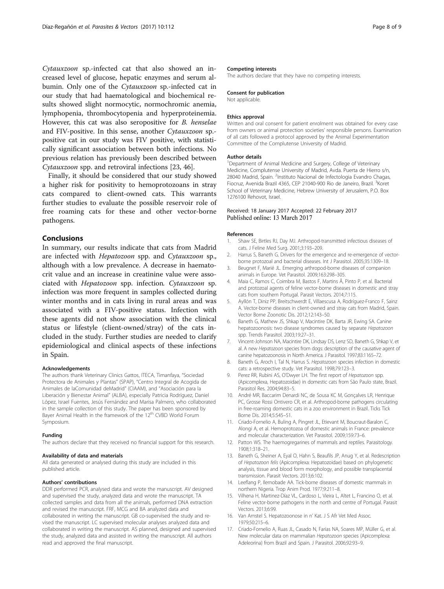<span id="page-7-0"></span>Cytauxzoon sp.-infected cat that also showed an increased level of glucose, hepatic enzymes and serum albumin. Only one of the Cytauxzoon sp.-infected cat in our study that had haematological and biochemical results showed slight normocytic, normochromic anemia, lymphopenia, thrombocytopenia and hyperproteinemia. However, this cat was also seropositive for B. henselae and FIV-positive. In this sense, another Cytauxzoon sp. positive cat in our study was FIV positive, with statistically significant association between both infections. No previous relation has previously been described between Cytauxzoon spp. and retroviral infections [\[23](#page-8-0), [46](#page-8-0)].

Finally, it should be considered that our study showed a higher risk for positivity to hemoprotozoans in stray cats compared to client-owned cats. This warrants further studies to evaluate the possible reservoir role of free roaming cats for these and other vector-borne pathogens.

# Conclusions

In summary, our results indicate that cats from Madrid are infected with Hepatozoon spp. and Cytauxzoon sp., although with a low prevalence. A decrease in haematocrit value and an increase in creatinine value were associated with Hepatozoon spp. infection. Cytauxzoon sp. infection was more frequent in samples collected during winter months and in cats living in rural areas and was associated with a FIV-positive status. Infection with these agents did not show association with the clinical status or lifestyle (client-owned/stray) of the cats included in the study. Further studies are needed to clarify epidemiological and clinical aspects of these infections in Spain.

#### Acknowledgements

The authors thank Veterinary Clinics Gattos, ITECA, Timanfaya, "Sociedad Protectora de Animales y Plantas" (SPAP), "Centro Integral de Acogida de Animales de laComunidad deMadrid" (CIAAM), and "Asociación para la Liberación y Bienestar Animal" (ALBA), especially Patricia Rodríguez, Daniel López, Israel Fuentes, Jesús Fernández and Marisa Palmero, who collaborated in the sample collection of this study. The paper has been sponsored by Bayer Animal Health in the framework of the 12<sup>th</sup> CVBD World Forum Symposium.

#### Funding

The authors declare that they received no financial support for this research.

#### Availability of data and materials

All data generated or analysed during this study are included in this published article.

#### Authors' contributions

DDR performed PCR, analysed data and wrote the manuscript. AV designed and supervised the study, analyzed data and wrote the manuscript. TA collected samples and data from all the animals, performed DNA extraction and revised the manuscript. FRF, MCG and BA analyzed data and collaborated in writing the manuscript. GB co-supervised the study and revised the manuscript. LC supervised molecular analyses analyzed data and collaborated in writing the manuscript. AS planned, designed and supervised the study, analyzed data and assisted in writing the manuscript. All authors read and approved the final manuscript.

#### Competing interests

The authors declare that they have no competing interests.

#### Consent for publication

Not applicable.

#### Ethics approval

Written and oral consent for patient enrolment was obtained for every case from owners or animal protection societies' responsible persons. Examination of all cats followed a protocol approved by the Animal Experimentation Committee of the Complutense University of Madrid.

#### Author details

<sup>1</sup>Department of Animal Medicine and Surgery, College of Veterinary Medicine, Complutense University of Madrid, Avda. Puerta de Hierro s/n, 28040 Madrid, Spain. <sup>2</sup>Instituto Nacional de Infectologia Evandro Chagas, Fiocruz, Avenida Brazil 4365, CEP 21040-900 Rio de Janeiro, Brazil. <sup>3</sup>Koret School of Veterinary Medicine, Hebrew University of Jerusalem, P.O. Box 1276100 Rehovot, Israel.

#### Received: 18 January 2017 Accepted: 22 February 2017 Published online: 13 March 2017

#### References

- 1. Shaw SE, Birtles RJ, Day MJ. Arthropod-transmitted infectious diseases of cats. J Feline Med Surg. 2001;3:193–209.
- 2. Harrus S, Baneth G. Drivers for the emergence and re-emergence of vectorborne protozoal and bacterial diseases. Int J Parasitol. 2005;35:1309–18.
- 3. Beugnet F, Marié JL. Emerging arthropod-borne diseases of companion animals in Europe. Vet Parasitol. 2009;163:298–305.
- 4. Maia C, Ramos C, Coimbra M, Bastos F, Martins Â, Pinto P, et al. Bacterial and protozoal agents of feline vector-borne diseases in domestic and stray cats from southern Portugal. Parasit Vectors. 2014;7:115.
- 5. Ayllón T, Diniz PP, Breitschwerdt E, Villaescusa A, Rodríguez-Franco F, Sainz A. Vector-borne diseases in client-owned and stray cats from Madrid, Spain. Vector Borne Zoonotic Dis. 2012;12:143–50.
- 6. Baneth G, Mathew JS, Shkap V, Macintire DK, Barta JR, Ewing SA. Canine hepatozoonosis: two disease syndromes caused by separate Hepatozoon spp. Trends Parasitol. 2003;19:27–31.
- 7. Vincent-Johnson NA, Macintire DK, Lindsay DS, Lenz SD, Baneth G, Shkap V, et al. A new Hepatozoon species from dogs: description of the causative agent of canine hepatozoonosis in North America. J Parasitol. 1997;83:1165–72.
- 8. Baneth G, Aroch I, Tal N, Harrus S. Hepatozoon species infection in domestic cats: a retrospective study. Vet Parasitol. 1998;79:123–3.
- 9. Perez RR, Rubini AS, O'Dwyer LH. The first report of Hepatozoon spp. (Apicomplexa, Hepatozoidae) in domestic cats from São Paulo state, Brazil. Parasitol Res. 2004;94:83–5.
- 10. André MR, Baccarim Denardi NC, de Sousa KC M, Gonçalves LR, Henrique PC, Grosse Rossi Ontivero CR, et al. Arthropod-borne pathogens circulating in free-roaming domestic cats in a zoo environment in Brazil. Ticks Tick Borne Dis. 2014;5:545–51.
- 11. Criado-Fornelio A, Buling A, Pingret JL, Etievant M, Boucraut-Baralon C, Alongi A, et al. Hemoprotozoa of domestic animals in France: prevalence and molecular characterization. Vet Parasitol. 2009;159:73–6.
- 12. Patton WS. The haemogregarines of mammals and reptiles. Parasitology. 1908;1:318–21.
- 13. Baneth G, Sheiner A, Eyal O, Hahn S, Beaufils JP, Anug Y, et al. Redescription of Hepatozoon felis (Apicomplexa: Hepatozoidae) based on phylogenetic analysis, tissue and blood form morphology, and possible transplacental transmission. Parasit Vectors. 2013;6:102.
- 14. Leeflang P, Ilemobade AA. Tick-borne diseases of domestic mammals in northern Nigeria. Trop Anim Prod. 1977;9:211–8.
- 15. Vilhena H, Martinez-Díaz VL, Cardoso L, Vieira L, Altet L, Francino O, et al. Feline vector-borne pathogens in the north and centre of Portugal. Parasit Vectors. 2013;6:99.
- 16. Van Amstel S. Hepatozoonose in n' Kat. J S Afr Vet Med Assoc. 1979;50:215–6.
- 17. Criado-Fornelio A, Ruas JL, Casado N, Farias NA, Soares MP, Müller G, et al. New molecular data on mammalian Hepatozoon species (Apicomplexa: Adeleorina) from Brazil and Spain. J Parasitol. 2006;92:93–9.